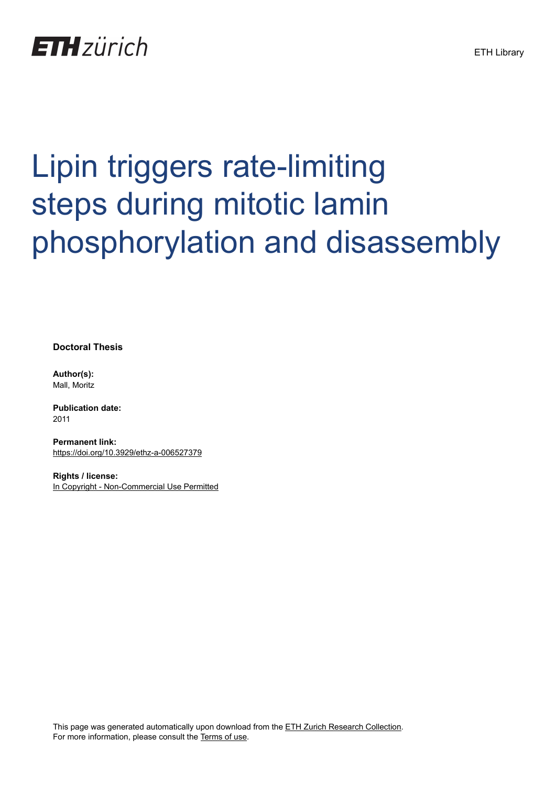

# Lipin triggers rate-limiting steps during mitotic lamin phosphorylation and disassembly

**Doctoral Thesis**

**Author(s):** Mall, Moritz

**Publication date:** 2011

**Permanent link:** <https://doi.org/10.3929/ethz-a-006527379>

**Rights / license:** [In Copyright - Non-Commercial Use Permitted](http://rightsstatements.org/page/InC-NC/1.0/)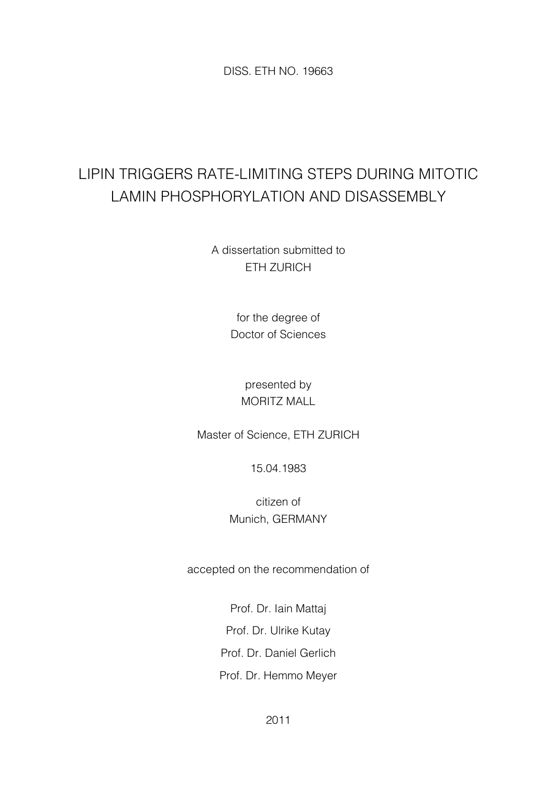DISS. ETH NO. 19663

# LIPIN TRIGGERS RATE-LIMITING STEPS DURING MITOTIC LAMIN PHOSPHORYLATION AND DISASSEMBLY

A dissertation submitted to ETH ZURICH

> for the degree of Doctor of Sciences

#### presented by MORITZ MALL

Master of Science, ETH ZURICH

15.04.1983

citizen of Munich, GERMANY

accepted on the recommendation of

Prof. Dr. Iain Mattaj Prof. Dr. Ulrike Kutay Prof. Dr. Daniel Gerlich Prof. Dr. Hemmo Meyer

2011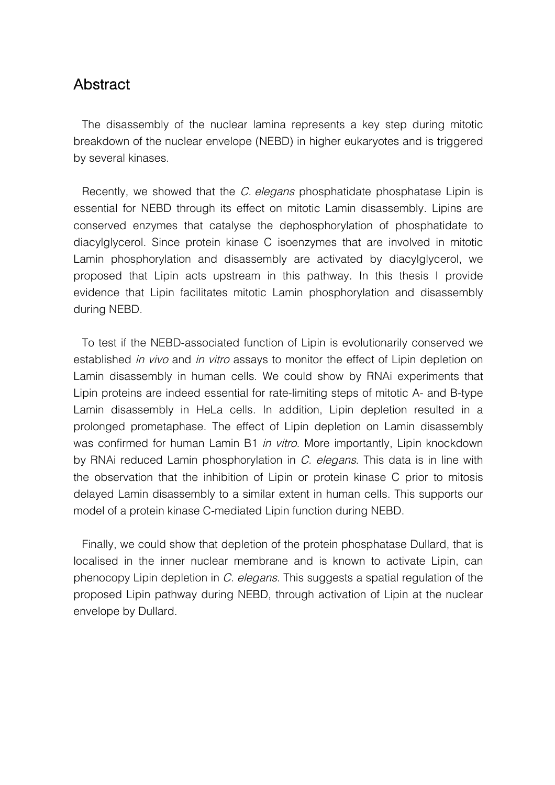## Abstract

The disassembly of the nuclear lamina represents a key step during mitotic breakdown of the nuclear envelope (NEBD) in higher eukaryotes and is triggered by several kinases.

Recently, we showed that the *C. elegans* phosphatidate phosphatase Lipin is essential for NEBD through its effect on mitotic Lamin disassembly. Lipins are conserved enzymes that catalyse the dephosphorylation of phosphatidate to diacylglycerol. Since protein kinase C isoenzymes that are involved in mitotic Lamin phosphorylation and disassembly are activated by diacylglycerol, we proposed that Lipin acts upstream in this pathway. In this thesis I provide evidence that Lipin facilitates mitotic Lamin phosphorylation and disassembly during NEBD.

To test if the NEBD-associated function of Lipin is evolutionarily conserved we established *in vivo* and *in vitro* assays to monitor the effect of Lipin depletion on Lamin disassembly in human cells. We could show by RNAi experiments that Lipin proteins are indeed essential for rate-limiting steps of mitotic A- and B-type Lamin disassembly in HeLa cells. In addition, Lipin depletion resulted in a prolonged prometaphase. The effect of Lipin depletion on Lamin disassembly was confirmed for human Lamin B1 *in vitro*. More importantly, Lipin knockdown by RNAi reduced Lamin phosphorylation in C. elegans. This data is in line with the observation that the inhibition of Lipin or protein kinase C prior to mitosis delayed Lamin disassembly to a similar extent in human cells. This supports our model of a protein kinase C-mediated Lipin function during NEBD.

Finally, we could show that depletion of the protein phosphatase Dullard, that is localised in the inner nuclear membrane and is known to activate Lipin, can phenocopy Lipin depletion in C. elegans. This suggests a spatial regulation of the proposed Lipin pathway during NEBD, through activation of Lipin at the nuclear envelope by Dullard.